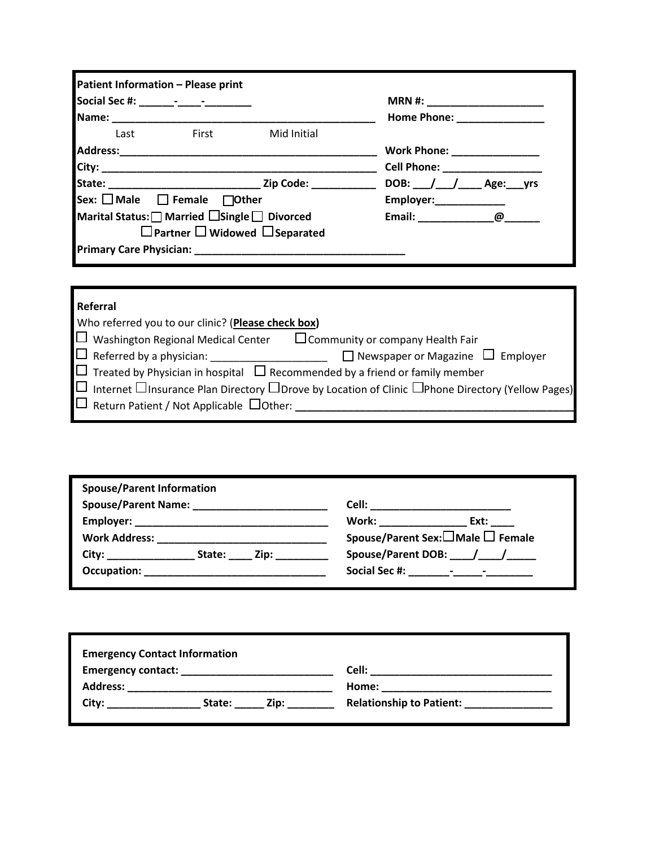|             | $MRN #: ____________$                                                                                                                                                                                                       |
|-------------|-----------------------------------------------------------------------------------------------------------------------------------------------------------------------------------------------------------------------------|
|             | Home Phone: ________________                                                                                                                                                                                                |
| Mid Initial |                                                                                                                                                                                                                             |
|             | Work Phone: _________________                                                                                                                                                                                               |
|             | Cell Phone: _________________                                                                                                                                                                                               |
|             | DOB: $\_\_\_\_\_\_\_\_\_\_\_\$ Age: ____ yrs                                                                                                                                                                                |
|             | Employer:______________                                                                                                                                                                                                     |
|             | Email: @                                                                                                                                                                                                                    |
|             |                                                                                                                                                                                                                             |
|             |                                                                                                                                                                                                                             |
|             | <b>Example 18 First</b><br>Sex: $\Box$ Male $\Box$ Female $\Box$ Other<br>Marital Status:   Married Single   Divorced<br>$\Box$ Partner $\Box$ Widowed $\Box$ Separated<br>Primary Care Physician: New York Care Physician: |

## **Referral**

| Who referred you to our clinic? (Please check box)   |                                                                                                                          |
|------------------------------------------------------|--------------------------------------------------------------------------------------------------------------------------|
| $\Box$ Washington Regional Medical Center            | $\Box$ Community or company Health Fair                                                                                  |
| $\square$ Referred by a physician: ___               | $\Box$ Newspaper or Magazine $\Box$ Employer                                                                             |
|                                                      | $\Box$ Treated by Physician in hospital $\Box$ Recommended by a friend or family member                                  |
|                                                      | $\Box$ Internet $\Box$ Insurance Plan Directory $\Box$ Drove by Location of Clinic $\Box$ Phone Directory (Yellow Pages) |
| $\Box$ Return Patient / Not Applicable $\Box$ Other: |                                                                                                                          |
|                                                      |                                                                                                                          |

| <b>Spouse/Parent Information</b> |             |                                  |
|----------------------------------|-------------|----------------------------------|
| Spouse/Parent Name: Names        |             |                                  |
|                                  |             | Work: ____________<br>Ext:       |
| <b>Work Address:</b>             |             | Spouse/Parent Sex:□Male □ Female |
| City:                            | State: Zip: | Spouse/Parent DOB: / /           |
| Occupation:                      |             |                                  |

| <b>Emergency Contact Information</b> |                |                                 |
|--------------------------------------|----------------|---------------------------------|
| <b>Emergency contact:</b>            |                | Cell:                           |
| <b>Address:</b>                      |                | Home:                           |
| City:                                | Zip:<br>State: | <b>Relationship to Patient:</b> |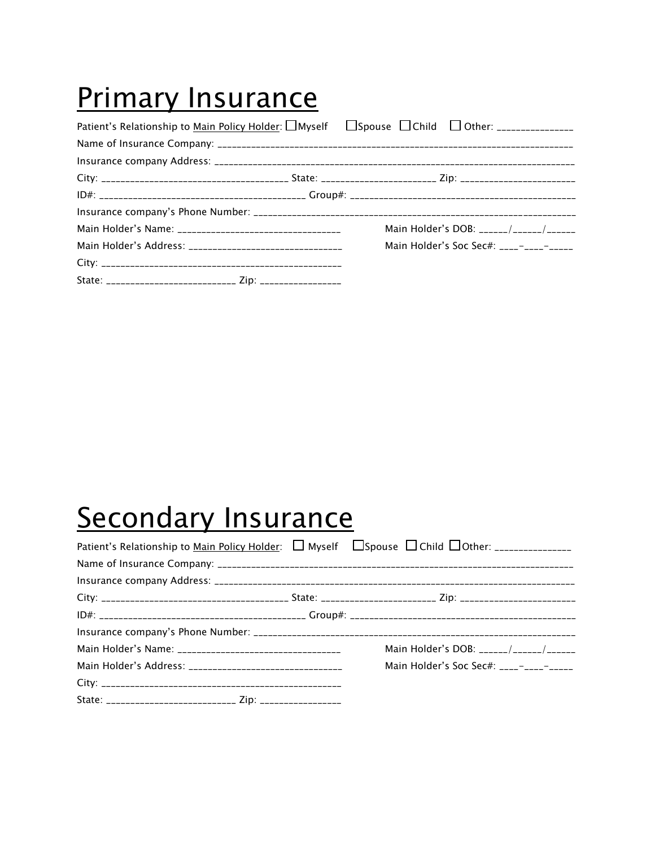# **Primary Insurance**

|                                                                      | Main Holder's DOB: ______/______/______ |
|----------------------------------------------------------------------|-----------------------------------------|
|                                                                      | Main Holder's Soc Sec#: ____-__________ |
|                                                                      |                                         |
| State: __________________________________ Zip: _____________________ |                                         |

# **Secondary Insurance**

|                                                                    | Main Holder's DOB: ______/______/______ |
|--------------------------------------------------------------------|-----------------------------------------|
|                                                                    |                                         |
|                                                                    |                                         |
| State: ________________________________ Zip: _____________________ |                                         |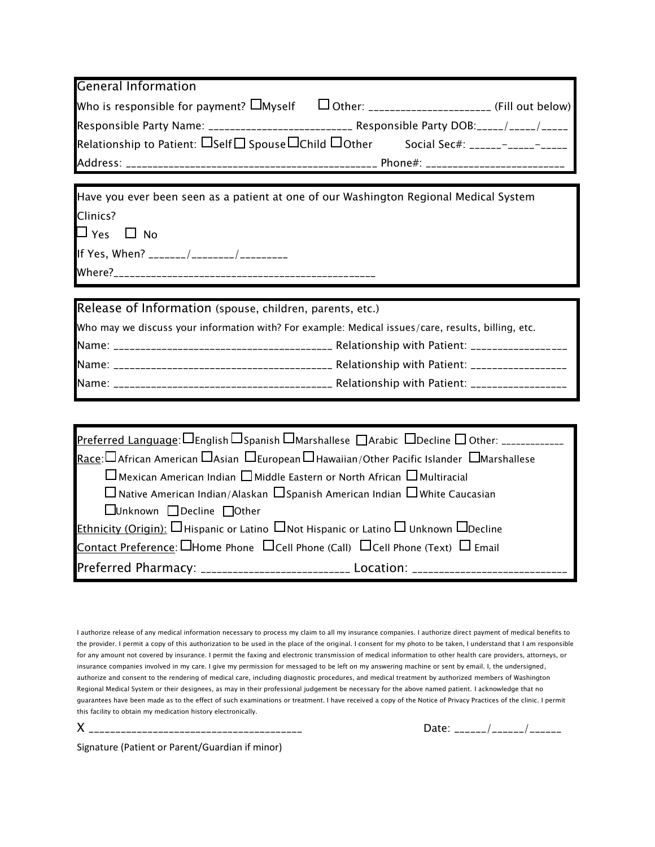| <b>General Information</b>                                                                                                                      |                                                                                                |  |  |
|-------------------------------------------------------------------------------------------------------------------------------------------------|------------------------------------------------------------------------------------------------|--|--|
| Who is responsible for payment? $\Box$ Myself $\Box$ Other: ________________________ (Fill out below)                                           |                                                                                                |  |  |
|                                                                                                                                                 | Responsible Party Name: ___________________________ Responsible Party DOB: _____/ _____/ _____ |  |  |
| Relationship to Patient: $\Box$ Self $\Box$ Spouse $\Box$ Child $\Box$ Other Social Sec#: ______-____________                                   |                                                                                                |  |  |
|                                                                                                                                                 |                                                                                                |  |  |
| Have you ever been seen as a patient at one of our Washington Regional Medical System                                                           |                                                                                                |  |  |
| Clinics?                                                                                                                                        |                                                                                                |  |  |
| $\Box$ Yes $\Box$ No                                                                                                                            |                                                                                                |  |  |
|                                                                                                                                                 |                                                                                                |  |  |
|                                                                                                                                                 |                                                                                                |  |  |
|                                                                                                                                                 |                                                                                                |  |  |
| Release of Information (spouse, children, parents, etc.)                                                                                        |                                                                                                |  |  |
| Who may we discuss your information with? For example: Medical issues/care, results, billing, etc.                                              |                                                                                                |  |  |
|                                                                                                                                                 |                                                                                                |  |  |
|                                                                                                                                                 |                                                                                                |  |  |
|                                                                                                                                                 |                                                                                                |  |  |
|                                                                                                                                                 |                                                                                                |  |  |
| Preferred Language: $\square$ English $\square$ Spanish $\square$ Marshallese $\square$ Arabic $\square$ Decline $\square$ Other: _____________ |                                                                                                |  |  |
| <u>Race</u> : $\Box$ African American $\Box$ Asian $\Box$ European $\Box$ Hawaiian/Other Pacific Islander $\Box$ Marshallese                    |                                                                                                |  |  |
| $\sqcup$ Mexican American Indian $\Box$ Middle Eastern or North African $\Box$ Multiracial                                                      |                                                                                                |  |  |
| $\Box$ Native American Indian/Alaskan $\Box$ Spanish American Indian $\Box$ White Caucasian                                                     |                                                                                                |  |  |
| □Unknown □Decline □Other                                                                                                                        |                                                                                                |  |  |
| <b>Ethnicity (Origin):</b> $\square$ Hispanic or Latino $\square$ Not Hispanic or Latino $\square$ Unknown $\square$ Decline                    |                                                                                                |  |  |
| <b>Contact Preference:</b> $\square$ Home Phone $\square$ Cell Phone (Call) $\square$ Cell Phone (Text) $\square$ Email                         |                                                                                                |  |  |
| Preferred Pharmacy: __________________________ Location: _______________________                                                                |                                                                                                |  |  |

I authorize release of any medical information necessary to process my claim to all my insurance companies. I authorize direct payment of medical benefits to the provider. I permit a copy of this authorization to be used in the place of the original. I consent for my photo to be taken, I understand that I am responsible for any amount not covered by insurance. I permit the faxing and electronic transmission of medical information to other health care providers, attorneys, or insurance companies involved in my care. I give my permission for messaged to be left on my answering machine or sent by email. I, the undersigned, authorize and consent to the rendering of medical care, including diagnostic procedures, and medical treatment by authorized members of Washington Regional Medical System or their designees, as may in their professional judgement be necessary for the above named patient. I acknowledge that no guarantees have been made as to the effect of such examinations or treatment. I have received a copy of the Notice of Privacy Practices of the clinic. I permit this facility to obtain my medication history electronically.

X \_\_\_\_\_\_\_\_\_\_\_\_\_\_\_\_\_\_\_\_\_\_\_\_\_\_\_\_\_\_\_\_\_\_\_\_\_\_\_\_ Date: \_\_\_\_\_\_/\_\_\_\_\_\_/\_\_\_\_\_\_

Signature (Patient or Parent/Guardian if minor)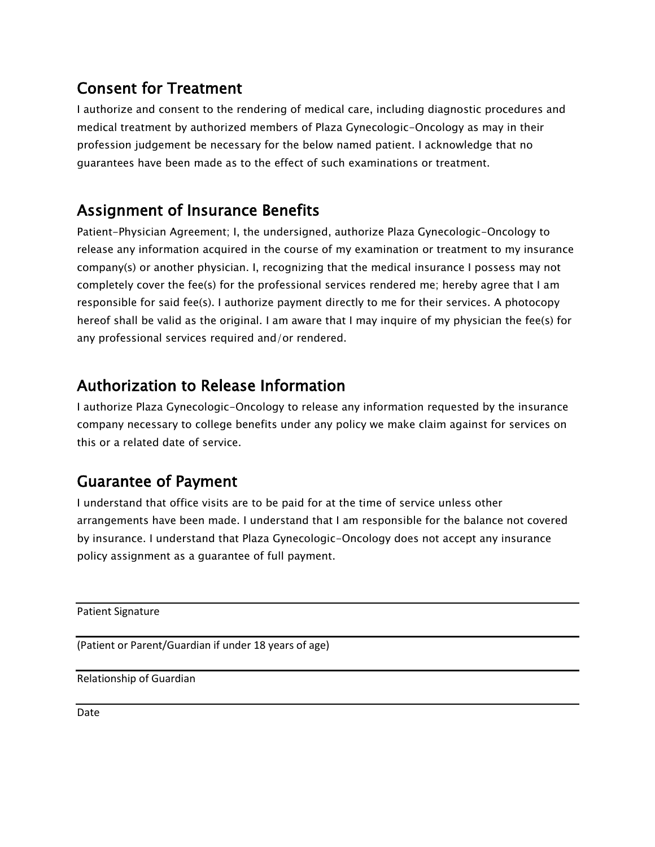## Consent for Treatment

I authorize and consent to the rendering of medical care, including diagnostic procedures and medical treatment by authorized members of Plaza Gynecologic-Oncology as may in their profession judgement be necessary for the below named patient. I acknowledge that no guarantees have been made as to the effect of such examinations or treatment.

# Assignment of Insurance Benefits

Patient-Physician Agreement; I, the undersigned, authorize Plaza Gynecologic-Oncology to release any information acquired in the course of my examination or treatment to my insurance company(s) or another physician. I, recognizing that the medical insurance I possess may not completely cover the fee(s) for the professional services rendered me; hereby agree that I am responsible for said fee(s). I authorize payment directly to me for their services. A photocopy hereof shall be valid as the original. I am aware that I may inquire of my physician the fee(s) for any professional services required and/or rendered.

## Authorization to Release Information

I authorize Plaza Gynecologic-Oncology to release any information requested by the insurance company necessary to college benefits under any policy we make claim against for services on this or a related date of service.

# Guarantee of Payment

I understand that office visits are to be paid for at the time of service unless other arrangements have been made. I understand that I am responsible for the balance not covered by insurance. I understand that Plaza Gynecologic-Oncology does not accept any insurance policy assignment as a guarantee of full payment.

Patient Signature

(Patient or Parent/Guardian if under 18 years of age)

Relationship of Guardian

Date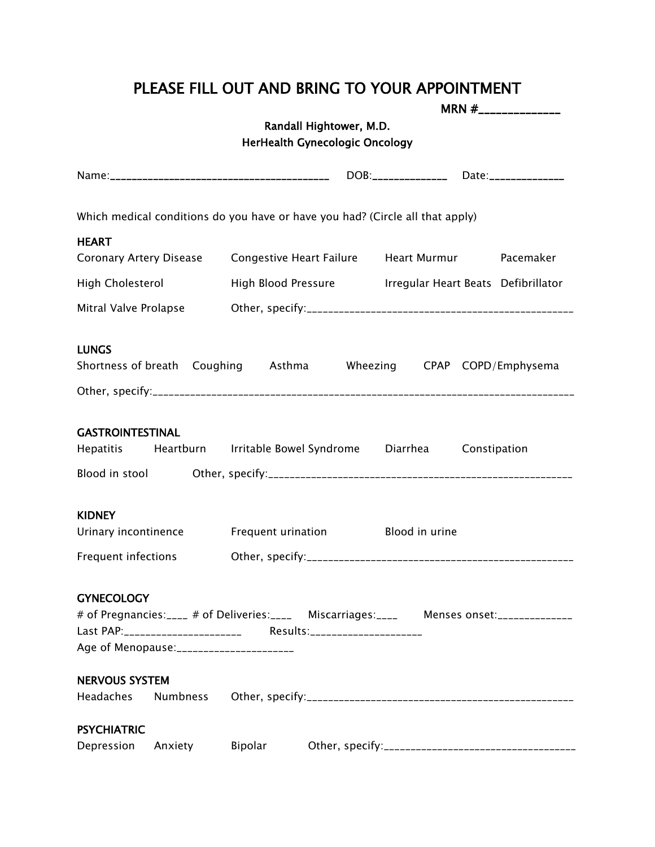## PLEASE FILL OUT AND BRING TO YOUR APPOINTMENT

|                         |                                           |         |                                       |                                                                                                    | MRN $#$ <sub>________________</sub> |
|-------------------------|-------------------------------------------|---------|---------------------------------------|----------------------------------------------------------------------------------------------------|-------------------------------------|
|                         |                                           |         | Randall Hightower, M.D.               |                                                                                                    |                                     |
|                         |                                           |         | <b>HerHealth Gynecologic Oncology</b> |                                                                                                    |                                     |
|                         |                                           |         |                                       |                                                                                                    |                                     |
|                         |                                           |         |                                       |                                                                                                    |                                     |
|                         |                                           |         |                                       | Which medical conditions do you have or have you had? (Circle all that apply)                      |                                     |
| <b>HEART</b>            |                                           |         |                                       |                                                                                                    |                                     |
|                         |                                           |         |                                       | Coronary Artery Disease Congestive Heart Failure Heart Murmur Pacemaker                            |                                     |
|                         |                                           |         |                                       | High Cholesterol <b>Example 2 High Blood Pressure Figure 1</b> Irregular Heart Beats Defibrillator |                                     |
| Mitral Valve Prolapse   |                                           |         |                                       |                                                                                                    |                                     |
|                         |                                           |         |                                       |                                                                                                    |                                     |
| <b>LUNGS</b>            |                                           |         |                                       |                                                                                                    |                                     |
|                         |                                           |         |                                       | Shortness of breath Coughing Asthma Wheezing CPAP COPD/Emphysema                                   |                                     |
|                         |                                           |         |                                       |                                                                                                    |                                     |
|                         |                                           |         |                                       |                                                                                                    |                                     |
| <b>GASTROINTESTINAL</b> |                                           |         |                                       |                                                                                                    |                                     |
|                         |                                           |         |                                       | Hepatitis Heartburn Irritable Bowel Syndrome Diarrhea Constipation                                 |                                     |
|                         |                                           |         |                                       |                                                                                                    |                                     |
|                         |                                           |         |                                       |                                                                                                    |                                     |
| <b>KIDNEY</b>           |                                           |         |                                       |                                                                                                    |                                     |
|                         |                                           |         |                                       | Urinary incontinence Frequent urination Blood in urine                                             |                                     |
|                         |                                           |         |                                       |                                                                                                    |                                     |
|                         |                                           |         |                                       |                                                                                                    |                                     |
| <b>GYNECOLOGY</b>       |                                           |         |                                       |                                                                                                    |                                     |
|                         |                                           |         |                                       | # of Pregnancies:____ # of Deliveries:____ Miscarriages:____ Menses onset:_____________            |                                     |
|                         |                                           |         |                                       |                                                                                                    |                                     |
|                         | Age of Menopause: _______________________ |         |                                       |                                                                                                    |                                     |
| <b>NERVOUS SYSTEM</b>   |                                           |         |                                       |                                                                                                    |                                     |
| <b>Headaches</b>        | Numbness                                  |         |                                       |                                                                                                    |                                     |
|                         |                                           |         |                                       |                                                                                                    |                                     |
| <b>PSYCHIATRIC</b>      |                                           |         |                                       |                                                                                                    |                                     |
| Depression              | Anxiety                                   | Bipolar |                                       |                                                                                                    |                                     |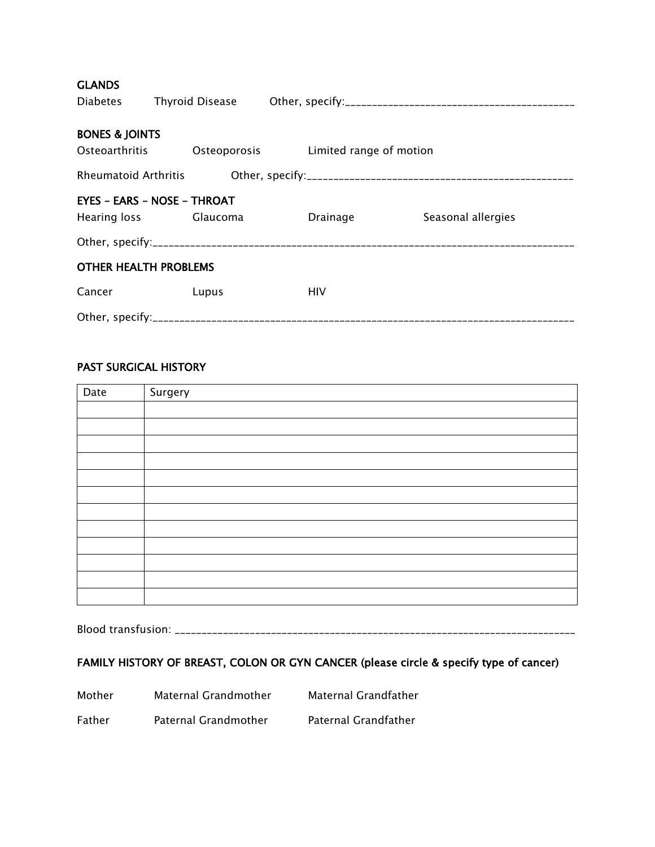| <b>GLANDS</b><br><b>Diabetes</b>                            |  |                                      |  |            |  |                    |  |
|-------------------------------------------------------------|--|--------------------------------------|--|------------|--|--------------------|--|
|                                                             |  |                                      |  |            |  |                    |  |
| <b>BONES &amp; JOINTS</b><br>Osteoarthritis                 |  | Osteoporosis Limited range of motion |  |            |  |                    |  |
|                                                             |  |                                      |  |            |  |                    |  |
| <b>EYES - EARS - NOSE - THROAT</b><br>Hearing loss Glaucoma |  |                                      |  | Drainage   |  | Seasonal allergies |  |
|                                                             |  |                                      |  |            |  |                    |  |
| <b>OTHER HEALTH PROBLEMS</b>                                |  |                                      |  |            |  |                    |  |
| Cancer                                                      |  | Lupus                                |  | <b>HIV</b> |  |                    |  |
|                                                             |  |                                      |  |            |  |                    |  |

## PAST SURGICAL HISTORY

| Date | Surgery |
|------|---------|
|      |         |
|      |         |
|      |         |
|      |         |
|      |         |
|      |         |
|      |         |
|      |         |
|      |         |
|      |         |
|      |         |
|      |         |

Blood transfusion: \_\_\_\_\_\_\_\_\_\_\_\_\_\_\_\_\_\_\_\_\_\_\_\_\_\_\_\_\_\_\_\_\_\_\_\_\_\_\_\_\_\_\_\_\_\_\_\_\_\_\_\_\_\_\_\_\_\_\_\_\_\_\_\_\_\_\_\_\_\_\_\_\_\_\_

## FAMILY HISTORY OF BREAST, COLON OR GYN CANCER (please circle & specify type of cancer)

| Mother | Maternal Grandmother | Maternal Grandfather |
|--------|----------------------|----------------------|
| Father | Paternal Grandmother | Paternal Grandfather |